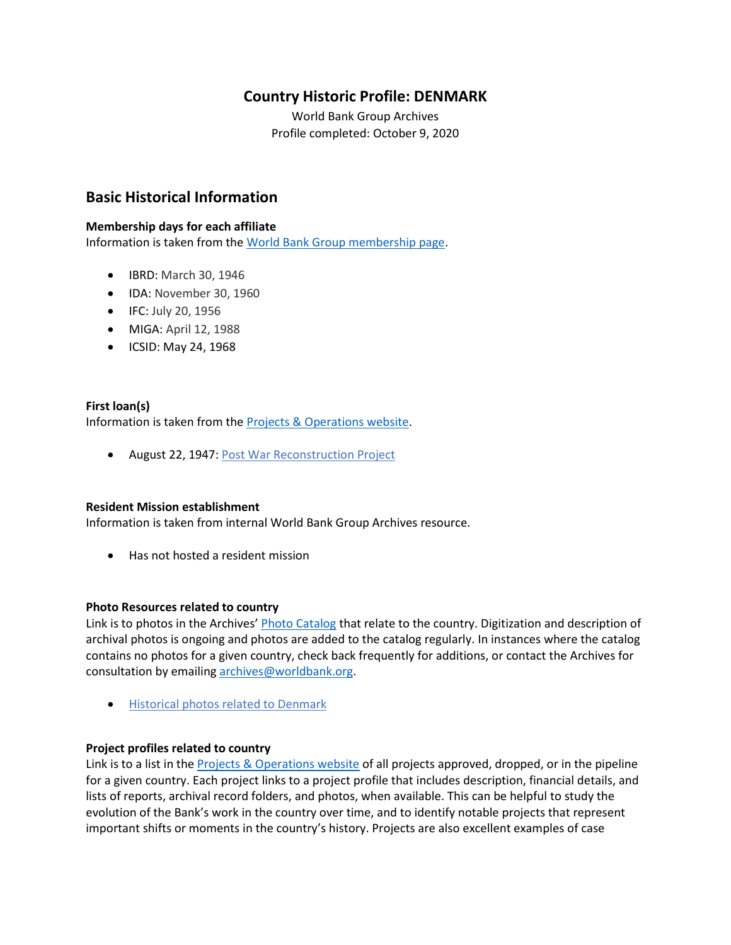# **Country Historic Profile: DENMARK**

World Bank Group Archives Profile completed: October 9, 2020

## **Basic Historical Information**

### **Membership days for each affiliate**

Information is taken from the [World Bank Group membership page.](https://www.worldbank.org/en/about/leadership/members#1)

- IBRD: March 30, 1946
- IDA: November 30, 1960
- IFC: July 20, 1956
- MIGA: April 12, 1988
- ICSID: May 24, 1968

## **First loan(s)** Information is taken from the [Projects & Operations website.](https://projects.worldbank.org/)

• August 22, 1947: [Post War Reconstruction Project](https://projects.worldbank.org/en/projects-operations/project-detail/P037362)

#### **Resident Mission establishment**

Information is taken from internal World Bank Group Archives resource.

• Has not hosted a resident mission

#### **Photo Resources related to country**

Link is to photos in the Archives' [Photo Catalog](https://archivesphotos.worldbank.org/en/about/archives/photo-gallery) that relate to the country. Digitization and description of archival photos is ongoing and photos are added to the catalog regularly. In instances where the catalog contains no photos for a given country, check back frequently for additions, or contact the Archives for consultation by emailing [archives@worldbank.org.](mailto:archives@worldbank.org)

• [Historical photos related to Denmark](https://archivesphotos.worldbank.org/en/about/archives/photo-gallery/photo-gallery-landing?wbg_country=Denmark)

#### **Project profiles related to country**

Link is to a list in the [Projects & Operations website](https://projects.worldbank.org/) of all projects approved, dropped, or in the pipeline for a given country. Each project links to a project profile that includes description, financial details, and lists of reports, archival record folders, and photos, when available. This can be helpful to study the evolution of the Bank's work in the country over time, and to identify notable projects that represent important shifts or moments in the country's history. Projects are also excellent examples of case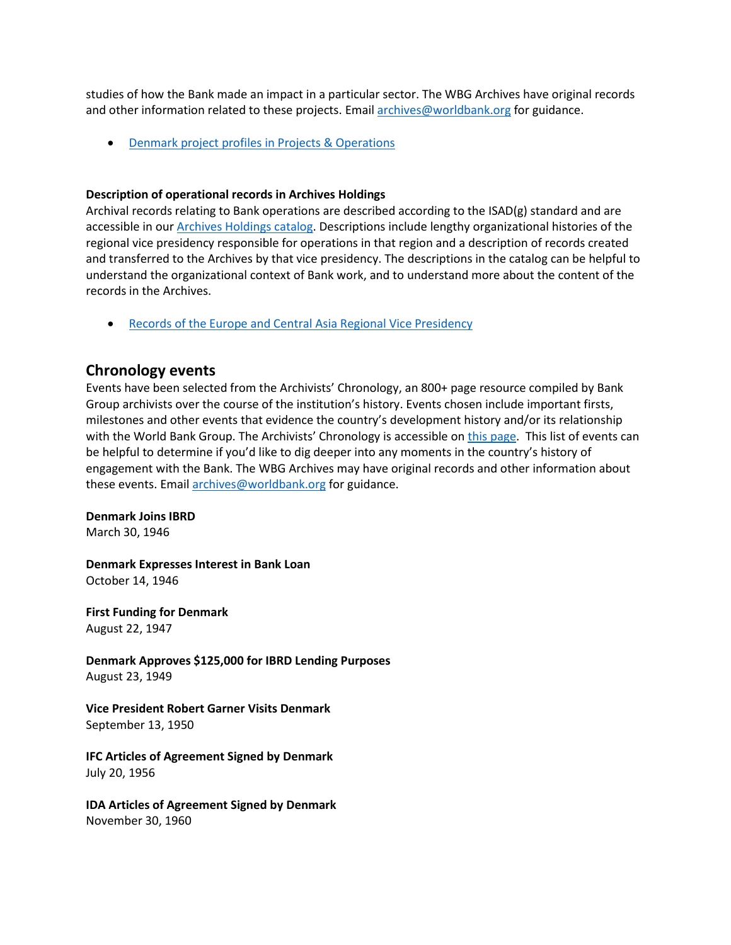studies of how the Bank made an impact in a particular sector. The WBG Archives have original records and other information related to these projects. Email [archives@worldbank.org](mailto:archives@worldbank.org) for guidance.

• [Denmark project profiles in Projects & Operations](https://projects.worldbank.org/en/projects-operations/projects-list?countrycode_exact=DK)

#### **Description of operational records in Archives Holdings**

Archival records relating to Bank operations are described according to the ISAD(g) standard and are accessible in our [Archives Holdings catalog.](https://archivesholdings.worldbank.org/) Descriptions include lengthy organizational histories of the regional vice presidency responsible for operations in that region and a description of records created and transferred to the Archives by that vice presidency. The descriptions in the catalog can be helpful to understand the organizational context of Bank work, and to understand more about the content of the records in the Archives.

• [Records of the Europe and Central Asia Regional Vice Presidency](https://archivesholdings.worldbank.org/records-of-europe-and-central-asia-regional-vice-presidency)

## **Chronology events**

Events have been selected from the Archivists' Chronology, an 800+ page resource compiled by Bank Group archivists over the course of the institution's history. Events chosen include important firsts, milestones and other events that evidence the country's development history and/or its relationship with the World Bank Group. The Archivists' Chronology is accessible on [this page.](https://www.worldbank.org/en/about/archives/history/timeline) This list of events can be helpful to determine if you'd like to dig deeper into any moments in the country's history of engagement with the Bank. The WBG Archives may have original records and other information about these events. Email [archives@worldbank.org](mailto:archives@worldbank.org) for guidance.

#### **Denmark Joins IBRD**

March 30, 1946

**Denmark Expresses Interest in Bank Loan** October 14, 1946

**First Funding for Denmark** August 22, 1947

**Denmark Approves \$125,000 for IBRD Lending Purposes** August 23, 1949

**Vice President Robert Garner Visits Denmark** September 13, 1950

**IFC Articles of Agreement Signed by Denmark** July 20, 1956

**IDA Articles of Agreement Signed by Denmark**  November 30, 1960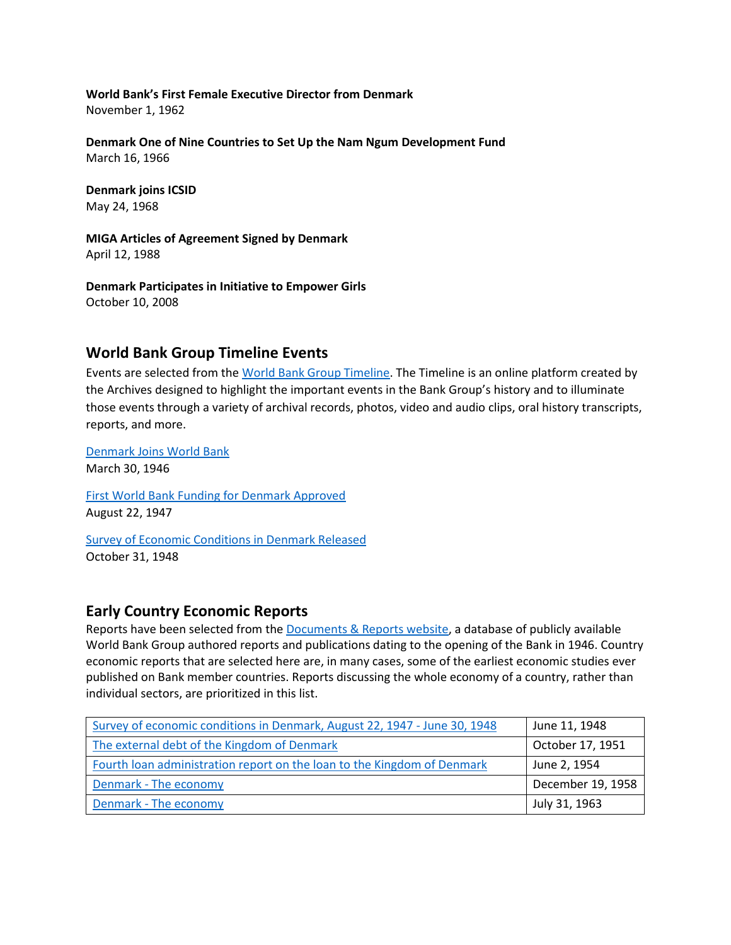**World Bank's First Female Executive Director from Denmark**  November 1, 1962

**Denmark One of Nine Countries to Set Up the Nam Ngum Development Fund**  March 16, 1966

**Denmark joins ICSID** May 24, 1968

**MIGA Articles of Agreement Signed by Denmark** April 12, 1988

**Denmark Participates in Initiative to Empower Girls** October 10, 2008

## **World Bank Group Timeline Events**

Events are selected from th[e World Bank Group Timeline.](https://timeline.worldbank.org/#event-bretton-woods-conference-begins) The Timeline is an online platform created by the Archives designed to highlight the important events in the Bank Group's history and to illuminate those events through a variety of archival records, photos, video and audio clips, oral history transcripts, reports, and more.

[Denmark Joins World Bank](https://timeline.worldbank.org/?field_timeline_target_id=All&combine=denmark#event-denmark-joins-the-world-bank) March 30, 1946 [First World Bank Funding for Denmark Approved](https://timeline.worldbank.org/?field_timeline_target_id=All&combine=denmark#event-first-world-bank-funding-for-denmark-approved)

August 22, 1947

[Survey of Economic Conditions in Denmark Released](https://timeline.worldbank.org/?field_timeline_target_id=All&combine=denmark#event-survey-of-economic-conditions-in-denmark-released) October 31, 1948

## **Early Country Economic Reports**

Reports have been selected from the **Documents & Reports website**, a database of publicly available World Bank Group authored reports and publications dating to the opening of the Bank in 1946. Country economic reports that are selected here are, in many cases, some of the earliest economic studies ever published on Bank member countries. Reports discussing the whole economy of a country, rather than individual sectors, are prioritized in this list.

| Survey of economic conditions in Denmark, August 22, 1947 - June 30, 1948 | June 11, 1948     |
|---------------------------------------------------------------------------|-------------------|
| The external debt of the Kingdom of Denmark                               | October 17, 1951  |
| Fourth loan administration report on the loan to the Kingdom of Denmark   | June 2, 1954      |
| Denmark - The economy                                                     | December 19, 1958 |
| Denmark - The economy                                                     | July 31, 1963     |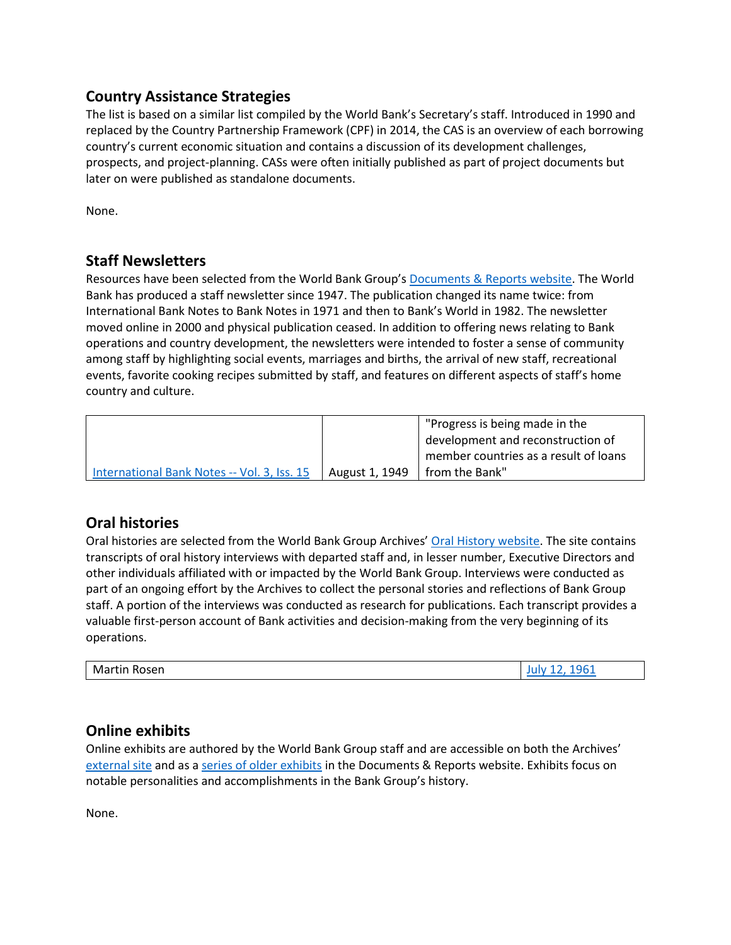## **Country Assistance Strategies**

The list is based on a similar list compiled by the World Bank's Secretary's staff. Introduced in 1990 and replaced by the Country Partnership Framework (CPF) in 2014, the CAS is an overview of each borrowing country's current economic situation and contains a discussion of its development challenges, prospects, and project-planning. CASs were often initially published as part of project documents but later on were published as standalone documents.

None.

# **Staff Newsletters**

Resources have been selected from the World Bank Group's [Documents & Reports website.](https://documents.worldbank.org/) The World Bank has produced a staff newsletter since 1947. The publication changed its name twice: from International Bank Notes to Bank Notes in 1971 and then to Bank's World in 1982. The newsletter moved online in 2000 and physical publication ceased. In addition to offering news relating to Bank operations and country development, the newsletters were intended to foster a sense of community among staff by highlighting social events, marriages and births, the arrival of new staff, recreational events, favorite cooking recipes submitted by staff, and features on different aspects of staff's home country and culture.

|                                             | "Progress is being made in the |                                       |
|---------------------------------------------|--------------------------------|---------------------------------------|
|                                             |                                | development and reconstruction of     |
|                                             |                                | member countries as a result of loans |
| International Bank Notes -- Vol. 3, Iss. 15 | August 1, 1949                 | I from the Bank"                      |

# **Oral histories**

Oral histories are selected from the World Bank Group Archives' [Oral History website.](https://oralhistory.worldbank.org/) The site contains transcripts of oral history interviews with departed staff and, in lesser number, Executive Directors and other individuals affiliated with or impacted by the World Bank Group. Interviews were conducted as part of an ongoing effort by the Archives to collect the personal stories and reflections of Bank Group staff. A portion of the interviews was conducted as research for publications. Each transcript provides a valuable first-person account of Bank activities and decision-making from the very beginning of its operations.

|--|

## **Online exhibits**

Online exhibits are authored by the World Bank Group staff and are accessible on both the Archives' [external site](https://www.worldbank.org/en/about/archives/history/exhibits) and as a [series of older exhibits](https://documents.worldbank.org/en/publication/documents-reports/documentlist?colti=World%20Bank%20Group%20Archives%20exhibit%20series) in the Documents & Reports website. Exhibits focus on notable personalities and accomplishments in the Bank Group's history.

None.